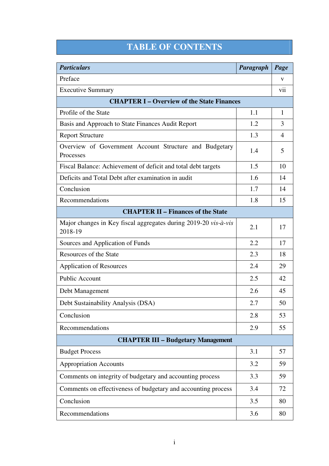## **TABLE OF CONTENTS**

| <b>Particulars</b>                                                         | Paragraph | Page           |  |  |
|----------------------------------------------------------------------------|-----------|----------------|--|--|
| Preface                                                                    |           | V              |  |  |
| <b>Executive Summary</b>                                                   |           | V <sub>i</sub> |  |  |
| <b>CHAPTER I – Overview of the State Finances</b>                          |           |                |  |  |
| Profile of the State                                                       | 1.1       | 1              |  |  |
| Basis and Approach to State Finances Audit Report                          | 1.2       | 3              |  |  |
| <b>Report Structure</b>                                                    | 1.3       | $\overline{4}$ |  |  |
| Overview of Government Account Structure and Budgetary<br>Processes        | 1.4       | 5              |  |  |
| Fiscal Balance: Achievement of deficit and total debt targets              | 1.5       | 10             |  |  |
| Deficits and Total Debt after examination in audit                         | 1.6       | 14             |  |  |
| Conclusion                                                                 | 1.7       | 14             |  |  |
| Recommendations                                                            | 1.8       | 15             |  |  |
| <b>CHAPTER II - Finances of the State</b>                                  |           |                |  |  |
| Major changes in Key fiscal aggregates during 2019-20 vis-à-vis<br>2018-19 | 2.1       | 17             |  |  |
| Sources and Application of Funds                                           | 2.2       | 17             |  |  |
| Resources of the State                                                     | 2.3       | 18             |  |  |
| <b>Application of Resources</b>                                            | 2.4       | 29             |  |  |
| <b>Public Account</b>                                                      | 2.5       | 42             |  |  |
| Debt Management                                                            | 2.6       | 45             |  |  |
| Debt Sustainability Analysis (DSA)                                         | 2.7       | 50             |  |  |
| Conclusion                                                                 | 2.8       | 53             |  |  |
| Recommendations                                                            | 2.9       | 55             |  |  |
| <b>CHAPTER III - Budgetary Management</b>                                  |           |                |  |  |
| <b>Budget Process</b>                                                      | 3.1       | 57             |  |  |
| <b>Appropriation Accounts</b>                                              | 3.2       | 59             |  |  |
| Comments on integrity of budgetary and accounting process                  | 3.3       | 59             |  |  |
| Comments on effectiveness of budgetary and accounting process              | 3.4       | 72             |  |  |
| Conclusion                                                                 | 3.5       | 80             |  |  |
| Recommendations                                                            | 3.6       | 80             |  |  |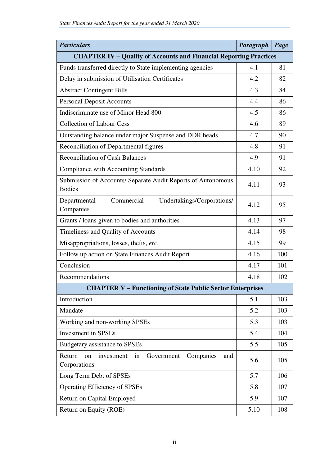| <b>Particulars</b>                                                                 | Paragraph | Page |  |  |  |
|------------------------------------------------------------------------------------|-----------|------|--|--|--|
| <b>CHAPTER IV - Quality of Accounts and Financial Reporting Practices</b>          |           |      |  |  |  |
| Funds transferred directly to State implementing agencies                          | 4.1       | 81   |  |  |  |
| Delay in submission of Utilisation Certificates                                    | 4.2       | 82   |  |  |  |
| <b>Abstract Contingent Bills</b>                                                   | 4.3       | 84   |  |  |  |
| <b>Personal Deposit Accounts</b>                                                   | 4.4       | 86   |  |  |  |
| Indiscriminate use of Minor Head 800                                               | 4.5       | 86   |  |  |  |
| <b>Collection of Labour Cess</b>                                                   | 4.6       | 89   |  |  |  |
| Outstanding balance under major Suspense and DDR heads                             | 4.7       | 90   |  |  |  |
| Reconciliation of Departmental figures                                             | 4.8       | 91   |  |  |  |
| <b>Reconciliation of Cash Balances</b>                                             | 4.9       | 91   |  |  |  |
| Compliance with Accounting Standards                                               | 4.10      | 92   |  |  |  |
| Submission of Accounts/ Separate Audit Reports of Autonomous<br><b>Bodies</b>      | 4.11      | 93   |  |  |  |
| Departmental<br>Commercial<br>Undertakings/Corporations/<br>Companies              | 4.12      | 95   |  |  |  |
| Grants / loans given to bodies and authorities                                     | 4.13      | 97   |  |  |  |
| Timeliness and Quality of Accounts                                                 | 4.14      | 98   |  |  |  |
| Misappropriations, losses, thefts, etc.                                            | 4.15      | 99   |  |  |  |
| Follow up action on State Finances Audit Report                                    | 4.16      | 100  |  |  |  |
| Conclusion                                                                         | 4.17      | 101  |  |  |  |
| Recommendations                                                                    | 4.18      | 102  |  |  |  |
| <b>CHAPTER V - Functioning of State Public Sector Enterprises</b>                  |           |      |  |  |  |
| Introduction                                                                       | 5.1       | 103  |  |  |  |
| Mandate                                                                            | 5.2       | 103  |  |  |  |
| Working and non-working SPSEs                                                      | 5.3       | 103  |  |  |  |
| <b>Investment</b> in SPSEs                                                         | 5.4       | 104  |  |  |  |
| Budgetary assistance to SPSEs                                                      | 5.5       | 105  |  |  |  |
| Return<br>Companies<br>on<br>investment<br>in<br>Government<br>and<br>Corporations | 5.6       | 105  |  |  |  |
| Long Term Debt of SPSEs                                                            | 5.7       | 106  |  |  |  |
| <b>Operating Efficiency of SPSEs</b>                                               | 5.8       | 107  |  |  |  |
| Return on Capital Employed                                                         | 5.9       | 107  |  |  |  |
| Return on Equity (ROE)                                                             | 5.10      | 108  |  |  |  |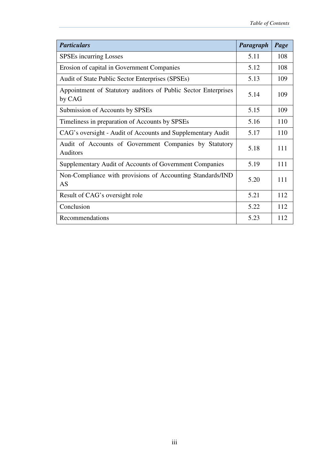| <b>Particulars</b>                                                        | Paragraph | Page |
|---------------------------------------------------------------------------|-----------|------|
| <b>SPSEs incurring Losses</b>                                             | 5.11      | 108  |
| Erosion of capital in Government Companies                                | 5.12      | 108  |
| <b>Audit of State Public Sector Enterprises (SPSEs)</b>                   | 5.13      | 109  |
| Appointment of Statutory auditors of Public Sector Enterprises<br>by CAG  | 5.14      | 109  |
| Submission of Accounts by SPSEs                                           | 5.15      | 109  |
| Timeliness in preparation of Accounts by SPSEs                            | 5.16      | 110  |
| CAG's oversight - Audit of Accounts and Supplementary Audit               | 5.17      | 110  |
| Audit of Accounts of Government Companies by Statutory<br><b>Auditors</b> | 5.18      | 111  |
| Supplementary Audit of Accounts of Government Companies                   | 5.19      | 111  |
| Non-Compliance with provisions of Accounting Standards/IND<br>AS          | 5.20      | 111  |
| Result of CAG's oversight role                                            | 5.21      | 112  |
| Conclusion                                                                | 5.22      | 112  |
| Recommendations                                                           | 5.23      | 112  |